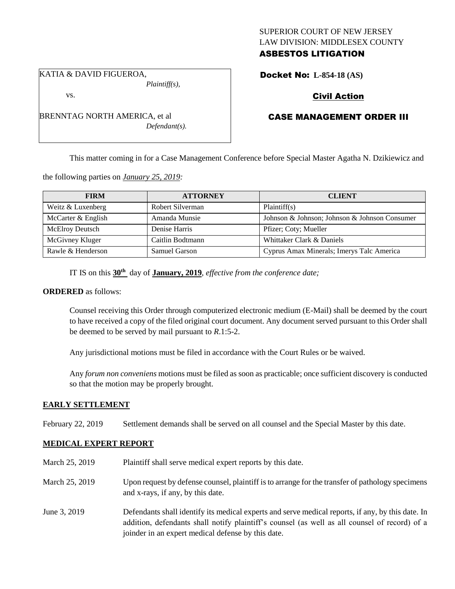# SUPERIOR COURT OF NEW JERSEY LAW DIVISION: MIDDLESEX COUNTY ASBESTOS LITIGATION

KATIA & DAVID FIGUEROA,

vs.

*Plaintiff(s),*

Docket No: **L-854-18 (AS)** 

# Civil Action

# CASE MANAGEMENT ORDER III

This matter coming in for a Case Management Conference before Special Master Agatha N. Dzikiewicz and

the following parties on *January 25, 2019:*

| <b>FIRM</b>            | <b>ATTORNEY</b>  | <b>CLIENT</b>                                 |
|------------------------|------------------|-----------------------------------------------|
| Weitz & Luxenberg      | Robert Silverman | Plaintiff(s)                                  |
| McCarter & English     | Amanda Munsie    | Johnson & Johnson; Johnson & Johnson Consumer |
| <b>McElroy Deutsch</b> | Denise Harris    | Pfizer; Coty; Mueller                         |
| McGivney Kluger        | Caitlin Bodtmann | Whittaker Clark & Daniels                     |
| Rawle & Henderson      | Samuel Garson    | Cyprus Amax Minerals; Imerys Talc America     |

IT IS on this **30th** day of **January, 2019**, *effective from the conference date;*

# **ORDERED** as follows:

Counsel receiving this Order through computerized electronic medium (E-Mail) shall be deemed by the court to have received a copy of the filed original court document. Any document served pursuant to this Order shall be deemed to be served by mail pursuant to *R*.1:5-2.

Any jurisdictional motions must be filed in accordance with the Court Rules or be waived.

Any *forum non conveniens* motions must be filed as soon as practicable; once sufficient discovery is conducted so that the motion may be properly brought.

# **EARLY SETTLEMENT**

February 22, 2019 Settlement demands shall be served on all counsel and the Special Master by this date.

# **MEDICAL EXPERT REPORT**

- March 25, 2019 Plaintiff shall serve medical expert reports by this date.
- March 25, 2019 Upon request by defense counsel, plaintiff is to arrange for the transfer of pathology specimens and x-rays, if any, by this date.
- June 3, 2019 Defendants shall identify its medical experts and serve medical reports, if any, by this date. In addition, defendants shall notify plaintiff's counsel (as well as all counsel of record) of a joinder in an expert medical defense by this date.

BRENNTAG NORTH AMERICA, et al *Defendant(s).*